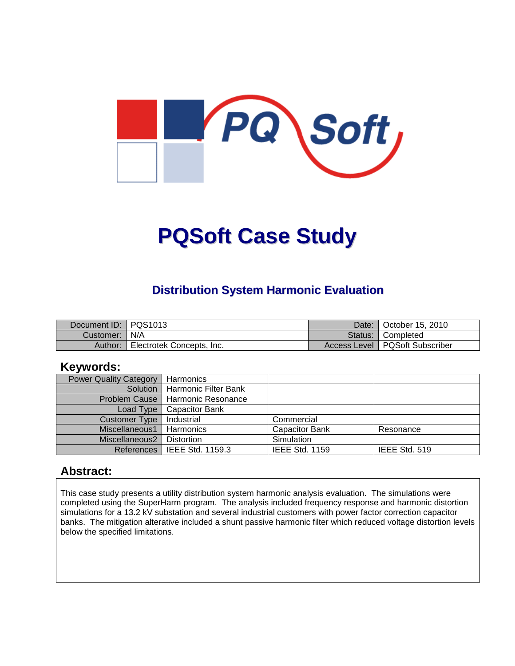

# **PQSoft Case Study**

#### **Distribution System Harmonic Evaluation**

| Document ID: PQS1013 |                           | Date: I | October 15, 2010                 |
|----------------------|---------------------------|---------|----------------------------------|
| Customer:   N/A      |                           |         | Status: Completed                |
| Author:              | Electrotek Concepts, Inc. |         | Access Level   PQSoft Subscriber |

#### **Keywords:**

| <b>Power Quality Category</b> | Harmonics                     |                       |               |
|-------------------------------|-------------------------------|-----------------------|---------------|
| Solution                      | <b>Harmonic Filter Bank</b>   |                       |               |
| Problem Cause                 | Harmonic Resonance            |                       |               |
| Load Type                     | <b>Capacitor Bank</b>         |                       |               |
| Customer Type                 | Industrial                    | Commercial            |               |
| Miscellaneous1                | Harmonics                     | <b>Capacitor Bank</b> | Resonance     |
| Miscellaneous2                | <b>Distortion</b>             | Simulation            |               |
|                               | References   IEEE Std. 1159.3 | <b>IEEE Std. 1159</b> | IEEE Std. 519 |

#### **Abstract:**

This case study presents a utility distribution system harmonic analysis evaluation. The simulations were completed using the SuperHarm program. The analysis included frequency response and harmonic distortion simulations for a 13.2 kV substation and several industrial customers with power factor correction capacitor banks. The mitigation alterative included a shunt passive harmonic filter which reduced voltage distortion levels below the specified limitations.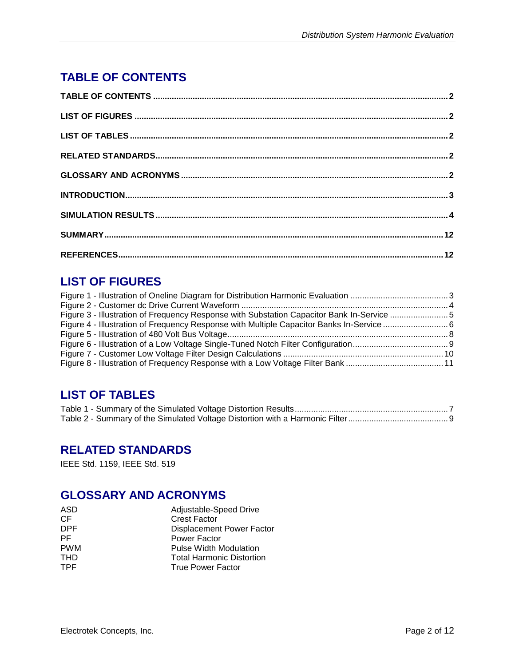# **TABLE OF CONTENTS**

# **LIST OF FIGURES**

| Figure 3 - Illustration of Frequency Response with Substation Capacitor Bank In-Service 5 |  |
|-------------------------------------------------------------------------------------------|--|
|                                                                                           |  |
|                                                                                           |  |
|                                                                                           |  |
|                                                                                           |  |
|                                                                                           |  |

## **LIST OF TABLES**

### **RELATED STANDARDS**

IEEE Std. 1159, IEEE Std. 519

## **GLOSSARY AND ACRONYMS**

| ASD        | Adjustable-Speed Drive           |
|------------|----------------------------------|
| CF         | <b>Crest Factor</b>              |
| DPF.       | Displacement Power Factor        |
| PF.        | Power Factor                     |
| <b>PWM</b> | Pulse Width Modulation           |
| <b>THD</b> | <b>Total Harmonic Distortion</b> |
| TPF.       | <b>True Power Factor</b>         |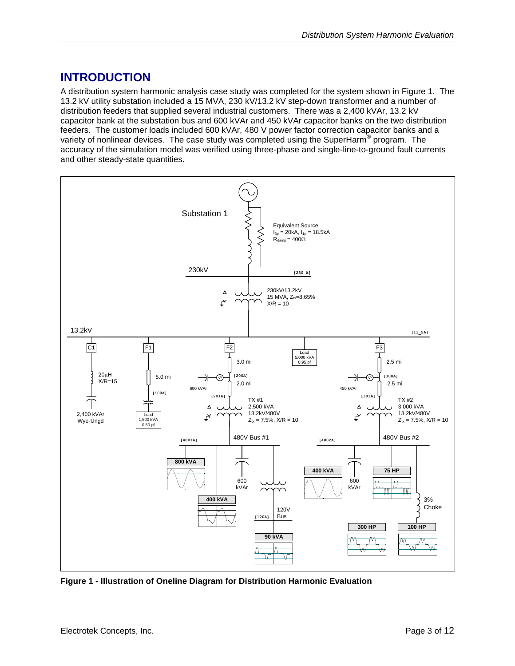## **INTRODUCTION**

A distribution system harmonic analysis case study was completed for the system shown in [Figure 1.](#page-2-0) The 13.2 kV utility substation included a 15 MVA, 230 kV/13.2 kV step-down transformer and a number of distribution feeders that supplied several industrial customers. There was a 2,400 kVAr, 13.2 kV capacitor bank at the substation bus and 600 kVAr and 450 kVAr capacitor banks on the two distribution feeders. The customer loads included 600 kVAr, 480 V power factor correction capacitor banks and a variety of nonlinear devices. The case study was completed using the SuperHarm® program. The accuracy of the simulation model was verified using three-phase and single-line-to-ground fault currents and other steady-state quantities.



<span id="page-2-0"></span>**Figure 1 - Illustration of Oneline Diagram for Distribution Harmonic Evaluation**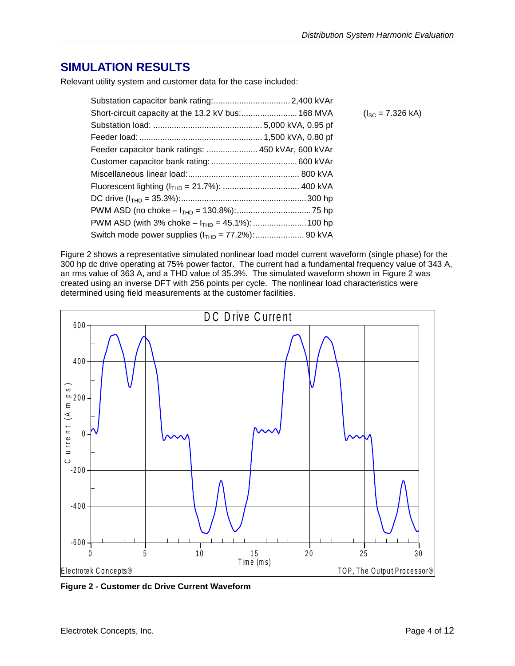### **SIMULATION RESULTS**

Relevant utility system and customer data for the case included:

|                                                    | $(I_{SC} = 7.326$ kA) |
|----------------------------------------------------|-----------------------|
|                                                    |                       |
|                                                    |                       |
| Feeder capacitor bank ratings:  450 kVAr, 600 kVAr |                       |
|                                                    |                       |
|                                                    |                       |
|                                                    |                       |
|                                                    |                       |
|                                                    |                       |
|                                                    |                       |
|                                                    |                       |

[Figure 2](#page-3-0) shows a representative simulated nonlinear load model current waveform (single phase) for the 300 hp dc drive operating at 75% power factor. The current had a fundamental frequency value of 343 A, an rms value of 363 A, and a THD value of 35.3%. The simulated waveform shown in [Figure 2](#page-3-0) was created using an inverse DFT with 256 points per cycle. The nonlinear load characteristics were



<span id="page-3-0"></span>**Figure 2 - Customer dc Drive Current Waveform**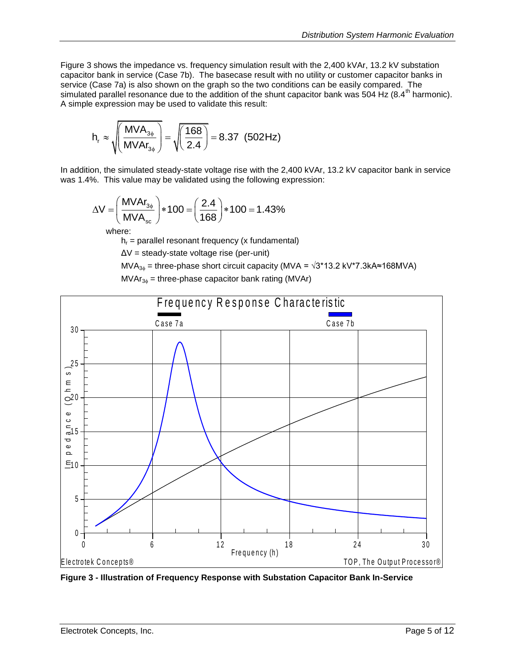[Figure 3](#page-4-0) shows the impedance vs. frequency simulation result with the 2,400 kVAr, 13.2 kV substation capacitor bank in service (Case 7b). The basecase result with no utility or customer capacitor banks in service (Case 7a) is also shown on the graph so the two conditions can be easily compared. The simulated parallel resonance due to the addition of the shunt capacitor bank was 504 Hz (8.4<sup>th</sup> harmonic). A simple expression may be used to validate this result:

$$
h_r \approx \sqrt{\left(\frac{MVA_{3\phi}}{MVA_{3\phi}}\right)} = \sqrt{\left(\frac{168}{2.4}\right)} = 8.37 \text{ (502Hz)}
$$

In addition, the simulated steady-state voltage rise with the 2,400 kVAr, 13.2 kV capacitor bank in service

was 1.4%. This value may be validated using the following expression:  
\n
$$
\Delta V = \left(\frac{M V A r_{3\phi}}{M V A_{\rm sc}}\right) * 100 = \left(\frac{2.4}{168}\right) * 100 = 1.43\%
$$

where:

 $h_r$  = parallel resonant frequency (x fundamental)

ΔV = steady-state voltage rise (per-unit)

MVA<sub>3<sup> $\phi$ </sub> = three-phase short circuit capacity (MVA =  $\sqrt{3}$ \*13.2 kV\*7.3kA≈168MVA)</sub></sup>

 $MVAr_{36}$  = three-phase capacitor bank rating (MVAr)



<span id="page-4-0"></span>**Figure 3 - Illustration of Frequency Response with Substation Capacitor Bank In-Service**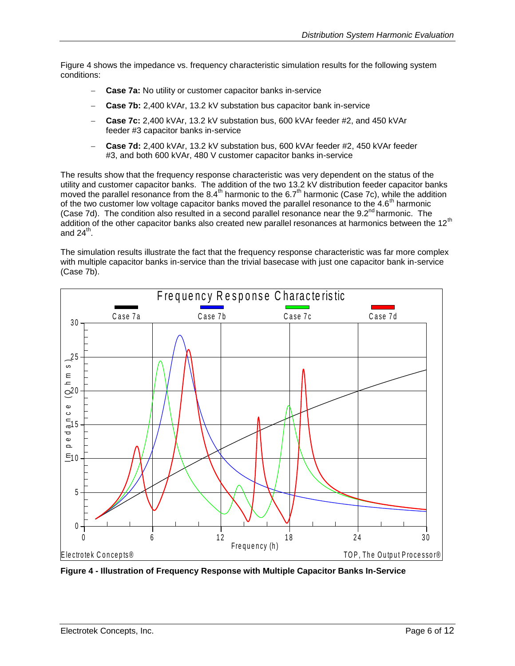[Figure 4](#page-5-0) shows the impedance vs. frequency characteristic simulation results for the following system conditions:

- **Case 7a:** No utility or customer capacitor banks in-service
- **Case 7b:** 2,400 kVAr, 13.2 kV substation bus capacitor bank in-service
- **Case 7c:** 2,400 kVAr, 13.2 kV substation bus, 600 kVAr feeder #2, and 450 kVAr feeder #3 capacitor banks in-service
- **Case 7d:** 2,400 kVAr, 13.2 kV substation bus, 600 kVAr feeder #2, 450 kVAr feeder #3, and both 600 kVAr, 480 V customer capacitor banks in-service

The results show that the frequency response characteristic was very dependent on the status of the utility and customer capacitor banks. The addition of the two 13.2 kV distribution feeder capacitor banks moved the parallel resonance from the 8.4<sup>th</sup> harmonic to the 6.7<sup>th</sup> harmonic (Case 7c), while the addition of the two customer low voltage capacitor banks moved the parallel resonance to the  $4.6<sup>th</sup>$  harmonic (Case 7d). The condition also resulted in a second parallel resonance near the  $9.2<sup>nd</sup>$  harmonic. The addition of the other capacitor banks also created new parallel resonances at harmonics between the 12<sup>th</sup> and 24<sup>th</sup>.

The simulation results illustrate the fact that the frequency response characteristic was far more complex with multiple capacitor banks in-service than the trivial basecase with just one capacitor bank in-service (Case 7b).



<span id="page-5-0"></span>**Figure 4 - Illustration of Frequency Response with Multiple Capacitor Banks In-Service**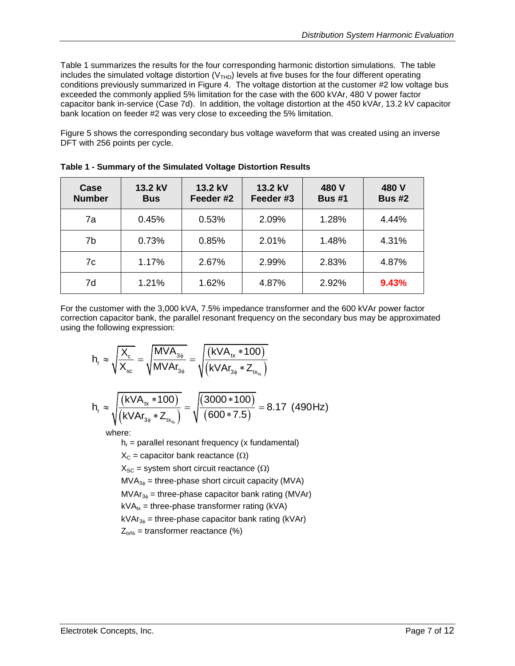[Table 1](#page-6-0) summarizes the results for the four corresponding harmonic distortion simulations. The table includes the simulated voltage distortion ( $V<sub>THD</sub>$ ) levels at five buses for the four different operating conditions previously summarized in [Figure 4.](#page-5-0) The voltage distortion at the customer #2 low voltage bus exceeded the commonly applied 5% limitation for the case with the 600 kVAr, 480 V power factor capacitor bank in-service (Case 7d). In addition, the voltage distortion at the 450 kVAr, 13.2 kV capacitor bank location on feeder #2 was very close to exceeding the 5% limitation.

[Figure 5](#page-7-0) shows the corresponding secondary bus voltage waveform that was created using an inverse DFT with 256 points per cycle.

| Case<br><b>Number</b> | 13.2 kV<br><b>Bus</b> | 13.2 kV<br>Feeder #2 | 13.2 kV<br>Feeder #3 | 480 V<br><b>Bus #1</b> | 480 V<br><b>Bus #2</b> |
|-----------------------|-----------------------|----------------------|----------------------|------------------------|------------------------|
| 7a                    | 0.45%                 | 0.53%                | 2.09%                | 1.28%                  | 4.44%                  |
| 7b                    | 0.73%                 | 0.85%                | 2.01%                | 1.48%                  | 4.31%                  |
| 7c                    | 1.17%                 | 2.67%                | 2.99%                | 2.83%                  | 4.87%                  |
| 7d                    | 1.21%                 | 1.62%                | 4.87%                | 2.92%                  | 9.43%                  |

<span id="page-6-0"></span>**Table 1 - Summary of the Simulated Voltage Distortion Results**

For the customer with the 3,000 kVA, 7.5% impedance transformer and the 600 kVAr power factor correction capacitor bank, the parallel resonant frequency on the secondary bus may be approximated using the following expression:

$$
h_r \approx \sqrt{\frac{X_c}{X_{sc}}} = \sqrt{\frac{MVA_{3\phi}}{MVAr_{3\phi}}} = \sqrt{\frac{(kVA_{tx} * 100)}{(kVAr_{3\phi} * Z_{tx_{\gamma_{s}}})}}
$$

$$
h_r \approx \sqrt{\frac{(kVA_{tx} * 100)}{(kVAr_{3\phi} * Z_{tx_{\gamma_{s}}})}} = \sqrt{\frac{(3000 * 100)}{(600 * 7.5)}} = 8.17 (490 Hz)
$$

where:

 $h_r$  = parallel resonant frequency (x fundamental)

 $X_c$  = capacitor bank reactance ( $\Omega$ )

 $X_{SC}$  = system short circuit reactance ( $\Omega$ )

 $MVA_{30}$  = three-phase short circuit capacity (MVA)

 $MVAr_{3\phi}$  = three-phase capacitor bank rating (MVAr)

 $kVA_{tx}$  = three-phase transformer rating (kVA)

 $kVar_{36}$  = three-phase capacitor bank rating (kVAr)

 $Z_{tx\%}$  = transformer reactance (%)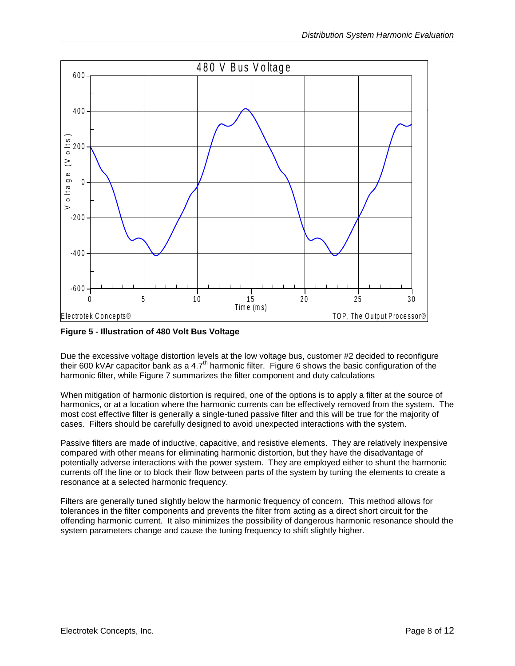

<span id="page-7-0"></span>**Figure 5 - Illustration of 480 Volt Bus Voltage**

Due the excessive voltage distortion levels at the low voltage bus, customer #2 decided to reconfigure their 600 kVAr capacitor bank as a 4.7<sup>th</sup> harmonic filter. [Figure 6](#page-8-0) shows the basic configuration of the harmonic filter, while [Figure 7](#page-9-0) summarizes the filter component and duty calculations

When mitigation of harmonic distortion is required, one of the options is to apply a filter at the source of harmonics, or at a location where the harmonic currents can be effectively removed from the system. The most cost effective filter is generally a single-tuned passive filter and this will be true for the majority of cases. Filters should be carefully designed to avoid unexpected interactions with the system.

Passive filters are made of inductive, capacitive, and resistive elements. They are relatively inexpensive compared with other means for eliminating harmonic distortion, but they have the disadvantage of potentially adverse interactions with the power system. They are employed either to shunt the harmonic currents off the line or to block their flow between parts of the system by tuning the elements to create a resonance at a selected harmonic frequency.

Filters are generally tuned slightly below the harmonic frequency of concern. This method allows for tolerances in the filter components and prevents the filter from acting as a direct short circuit for the offending harmonic current. It also minimizes the possibility of dangerous harmonic resonance should the system parameters change and cause the tuning frequency to shift slightly higher.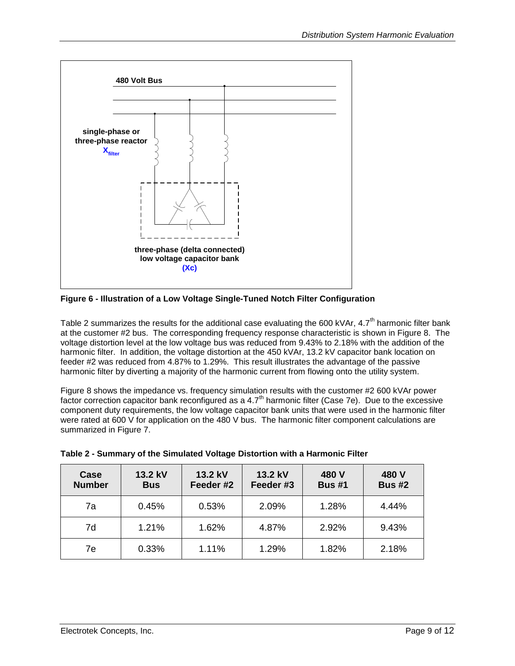

<span id="page-8-0"></span>**Figure 6 - Illustration of a Low Voltage Single-Tuned Notch Filter Configuration**

[Table 2](#page-8-1) summarizes the results for the additional case evaluating the 600 kVAr,  $4.7<sup>th</sup>$  harmonic filter bank at the customer #2 bus. The corresponding frequency response characteristic is shown in [Figure 8.](#page-10-0) The voltage distortion level at the low voltage bus was reduced from 9.43% to 2.18% with the addition of the harmonic filter. In addition, the voltage distortion at the 450 kVAr, 13.2 kV capacitor bank location on feeder #2 was reduced from 4.87% to 1.29%. This result illustrates the advantage of the passive harmonic filter by diverting a majority of the harmonic current from flowing onto the utility system.

[Figure 8](#page-10-0) shows the impedance vs. frequency simulation results with the customer #2 600 kVAr power factor correction capacitor bank reconfigured as a  $4.7<sup>th</sup>$  harmonic filter (Case 7e). Due to the excessive component duty requirements, the low voltage capacitor bank units that were used in the harmonic filter were rated at 600 V for application on the 480 V bus. The harmonic filter component calculations are summarized in [Figure 7.](#page-9-0)

| Case<br><b>Number</b> | 13.2 kV<br><b>Bus</b> | 13.2 kV<br>Feeder #2 | 13.2 kV<br>Feeder #3 | 480 V<br><b>Bus #1</b> | 480 V<br><b>Bus #2</b> |
|-----------------------|-----------------------|----------------------|----------------------|------------------------|------------------------|
| 7a                    | 0.45%                 | 0.53%                | 2.09%                | 1.28%                  | 4.44%                  |
| 7d                    | 1.21%                 | 1.62%                | 4.87%                | 2.92%                  | 9.43%                  |
| 7e                    | 0.33%                 | 1.11%                | 1.29%                | 1.82%                  | 2.18%                  |

<span id="page-8-1"></span>

| Table 2 - Summary of the Simulated Voltage Distortion with a Harmonic Filter |  |  |  |  |
|------------------------------------------------------------------------------|--|--|--|--|
|                                                                              |  |  |  |  |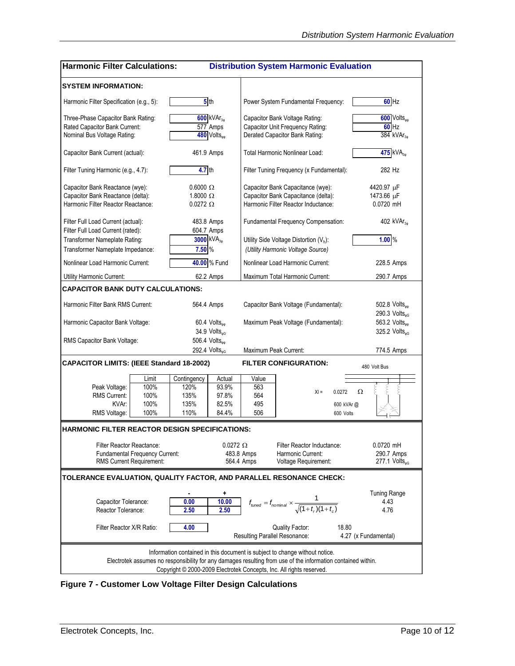| <b>Harmonic Filter Calculations:</b><br><b>Distribution System Harmonic Evaluation</b>                                                                                                      |                                                                   |                                                           |                                                       |                                                                  |                                                                                                                 |                                                                |
|---------------------------------------------------------------------------------------------------------------------------------------------------------------------------------------------|-------------------------------------------------------------------|-----------------------------------------------------------|-------------------------------------------------------|------------------------------------------------------------------|-----------------------------------------------------------------------------------------------------------------|----------------------------------------------------------------|
| <b>SYSTEM INFORMATION:</b>                                                                                                                                                                  |                                                                   |                                                           |                                                       |                                                                  |                                                                                                                 |                                                                |
| Harmonic Filter Specification (e.g., 5):                                                                                                                                                    |                                                                   |                                                           | 5 <sub>th</sub>                                       |                                                                  | Power System Fundamental Frequency:                                                                             | $60$ Hz                                                        |
| Three-Phase Capacitor Bank Rating:<br>Rated Capacitor Bank Current:<br>Nominal Bus Voltage Rating:                                                                                          |                                                                   | $600$ kVA $r_{30}$<br>577 Amps<br>480 Volts <sub>oo</sub> |                                                       |                                                                  | Capacitor Bank Voltage Rating:<br>Capacitor Unit Frequency Rating:<br>Derated Capacitor Bank Rating:            | 600 Volts <sub>op</sub><br>$60$ Hz<br>$384$ kVAr <sub>30</sub> |
| Capacitor Bank Current (actual):                                                                                                                                                            |                                                                   |                                                           | 461.9 Amps                                            |                                                                  | Total Harmonic Nonlinear Load:                                                                                  | 475 kVA <sub>30</sub>                                          |
| Filter Tuning Harmonic (e.g., 4.7):                                                                                                                                                         |                                                                   | $4.7$ th                                                  |                                                       |                                                                  | Filter Tuning Frequency (x Fundamental):                                                                        | 282 Hz                                                         |
| Capacitor Bank Reactance (wye):<br>Capacitor Bank Reactance (delta):<br>Harmonic Filter Reactor Reactance:                                                                                  |                                                                   |                                                           | $0.6000 \Omega$<br>1.8000 $\Omega$<br>$0.0272 \Omega$ |                                                                  | Capacitor Bank Capacitance (wye):<br>Capacitor Bank Capacitance (delta):<br>Harmonic Filter Reactor Inductance: | 4420.97 µF<br>1473.66 µF<br>$0.0720$ mH                        |
| Filter Full Load Current (actual):                                                                                                                                                          |                                                                   |                                                           | 483.8 Amps                                            |                                                                  | Fundamental Frequency Compensation:                                                                             | 402 $kVAr_{30}$                                                |
| Filter Full Load Current (rated):<br>Transformer Nameplate Rating:<br>Transformer Nameplate Impedance:                                                                                      |                                                                   | 7.50 %                                                    | 604.7 Amps<br>3000 KVA <sub>30</sub>                  |                                                                  | Utility Side Voltage Distortion $(V_h)$ :<br>(Utility Harmonic Voltage Source)                                  | 1.00%                                                          |
| Nonlinear Load Harmonic Current:                                                                                                                                                            |                                                                   |                                                           | 40.00 % Fund                                          |                                                                  | Nonlinear Load Harmonic Current:                                                                                | 228.5 Amps                                                     |
| Utility Harmonic Current:                                                                                                                                                                   |                                                                   |                                                           | 62.2 Amps                                             |                                                                  | Maximum Total Harmonic Current:                                                                                 | 290.7 Amps                                                     |
| CAPACITOR BANK DUTY CALCULATIONS:                                                                                                                                                           |                                                                   |                                                           |                                                       |                                                                  |                                                                                                                 |                                                                |
| Harmonic Filter Bank RMS Current:                                                                                                                                                           |                                                                   | 564.4 Amps                                                |                                                       | Capacitor Bank Voltage (Fundamental):                            |                                                                                                                 | 502.8 Volts <sub>op</sub><br>290.3 Volts $_{\text{wG}}$        |
| Harmonic Capacitor Bank Voltage:                                                                                                                                                            |                                                                   | $60.4$ Volts <sub>oo</sub><br>34.9 Volts <sub>oG</sub>    |                                                       | Maximum Peak Voltage (Fundamental):                              |                                                                                                                 | 563.2 Volts <sub>vv</sub><br>325.2 Volts $_{\text{wG}}$        |
| RMS Capacitor Bank Voltage:                                                                                                                                                                 |                                                                   | 506.4 Volts <sub>no</sub><br>292.4 Volts <sub>nG</sub>    |                                                       |                                                                  | Maximum Peak Current:                                                                                           | 774.5 Amps                                                     |
| <b>CAPACITOR LIMITS: (IEEE Standard 18-2002)</b>                                                                                                                                            |                                                                   |                                                           |                                                       |                                                                  | <b>FILTER CONFIGURATION:</b>                                                                                    | 480 Volt Bus                                                   |
|                                                                                                                                                                                             | Limit                                                             | Contingency                                               | Actual                                                | Value                                                            |                                                                                                                 |                                                                |
| Peak Voltage:                                                                                                                                                                               | 100%                                                              | 120%                                                      | 93.9%                                                 | 563                                                              | $X =$<br>0.0272                                                                                                 | Ω                                                              |
| <b>RMS Current:</b>                                                                                                                                                                         | 100%                                                              | 135%                                                      | 97.8%                                                 | 564                                                              |                                                                                                                 |                                                                |
| KVAr:<br>RMS Voltage:                                                                                                                                                                       | 100%<br>100%                                                      | 135%<br>110%                                              | 82.5%<br>84.4%                                        | 495<br>506                                                       | 600 kVAr @                                                                                                      |                                                                |
| <b>HARMONIC FILTER REACTOR DESIGN SPECIFICATIONS:</b>                                                                                                                                       |                                                                   |                                                           |                                                       |                                                                  | 600 Volts                                                                                                       |                                                                |
|                                                                                                                                                                                             |                                                                   |                                                           |                                                       |                                                                  |                                                                                                                 |                                                                |
| <b>Filter Reactor Reactance:</b>                                                                                                                                                            |                                                                   |                                                           | $0.0272 \Omega$                                       |                                                                  | Filter Reactor Inductance:                                                                                      | 0.0720 mH                                                      |
|                                                                                                                                                                                             | <b>Fundamental Frequency Current:</b><br>RMS Current Requirement: |                                                           |                                                       | 483.8 Amps<br>564.4 Amps                                         | Harmonic Current:<br>Voltage Requirement:                                                                       | 290.7 Amps<br>$277.1$ Volts <sub>®G</sub>                      |
|                                                                                                                                                                                             |                                                                   |                                                           |                                                       |                                                                  | TOLERANCE EVALUATION, QUALITY FACTOR, AND PARALLEL RESONANCE CHECK:                                             |                                                                |
|                                                                                                                                                                                             |                                                                   |                                                           |                                                       |                                                                  |                                                                                                                 |                                                                |
| 10.00<br>Capacitor Tolerance:<br>0.00<br>Reactor Tolerance:<br>2.50<br>2.50                                                                                                                 |                                                                   | ۰                                                         |                                                       | $f_{tuned} = f_{nominal} \times \frac{1}{\sqrt{(1+t_r)(1+t_c)}}$ | <b>Tuning Range</b><br>4.43<br>4.76                                                                             |                                                                |
| Filter Reactor X/R Ratio:                                                                                                                                                                   |                                                                   | 4.00                                                      |                                                       |                                                                  | <b>Quality Factor:</b><br>18.80<br><b>Resulting Parallel Resonance:</b>                                         | 4.27 (x Fundamental)                                           |
| Information contained in this document is subject to change without notice.<br>Electrotek assumes no responsibility for any damages resulting from use of the information contained within. |                                                                   |                                                           |                                                       |                                                                  |                                                                                                                 |                                                                |
|                                                                                                                                                                                             |                                                                   |                                                           |                                                       |                                                                  | Copyright © 2000-2009 Electrotek Concepts, Inc. All rights reserved.                                            |                                                                |

<span id="page-9-0"></span>**Figure 7 - Customer Low Voltage Filter Design Calculations**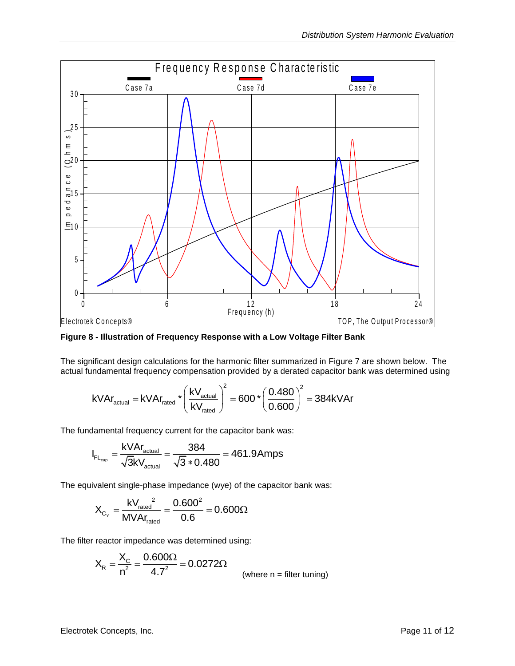

<span id="page-10-0"></span>**Figure 8 - Illustration of Frequency Response with a Low Voltage Filter Bank**

The significant design calculations for the harmonic filter summarized in [Figure 7](#page-9-0) are shown below. The The significant design calculations for the harmonic filter summarized in Figure 7 are shown below. The actual fundamental frequency compensation provided by a derated capacitor bank was determined using  $kVAr_{\text{actual}} = kVAr_{\text$ 

ndamental frequency compensation provided by a derated capacitor b: 
$$
kVAr_{\text{actual}} = kVAr_{\text{rated}} \times \left(\frac{kV_{\text{actual}}}{kV_{\text{rated}}}\right)^2 = 600 \times \left(\frac{0.480}{0.600}\right)^2 = 384kVAr
$$

The fundamental frequency current for the capacitor bank was:\n
$$
I_{\text{FL}_{\text{cap}}} = \frac{\text{kVAr}_{\text{actual}}}{\sqrt{3}\text{kV}_{\text{actual}}} = \frac{384}{\sqrt{3} * 0.480} = 461.9 \text{Amps}
$$

The equivalent single-phase impedance (wye) of the capacitor bank was:

$$
X_{C_{\gamma}} = \frac{k V_{\text{rated}}^2}{M V A r_{\text{rated}}} = \frac{0.600^2}{0.6} = 0.600 \Omega
$$

The filter reactor impedance was determined using:

$$
X_R = \frac{X_C}{n^2} = \frac{0.600\Omega}{4.7^2} = 0.0272\Omega
$$
 (where n = filter tuning)